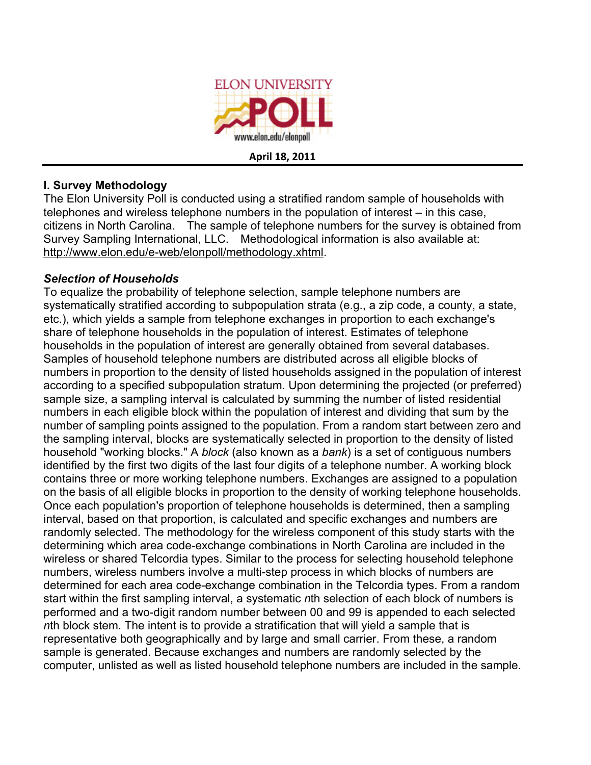

**April
18,
2011**

## **I. Survey Methodology**

The Elon University Poll is conducted using a stratified random sample of households with telephones and wireless telephone numbers in the population of interest – in this case, citizens in North Carolina. The sample of telephone numbers for the survey is obtained from Survey Sampling International, LLC. Methodological information is also available at: http://www.elon.edu/e-web/elonpoll/methodology.xhtml.

## *Selection of Households*

To equalize the probability of telephone selection, sample telephone numbers are systematically stratified according to subpopulation strata (e.g., a zip code, a county, a state, etc.), which yields a sample from telephone exchanges in proportion to each exchange's share of telephone households in the population of interest. Estimates of telephone households in the population of interest are generally obtained from several databases. Samples of household telephone numbers are distributed across all eligible blocks of numbers in proportion to the density of listed households assigned in the population of interest according to a specified subpopulation stratum. Upon determining the projected (or preferred) sample size, a sampling interval is calculated by summing the number of listed residential numbers in each eligible block within the population of interest and dividing that sum by the number of sampling points assigned to the population. From a random start between zero and the sampling interval, blocks are systematically selected in proportion to the density of listed household "working blocks." A *block* (also known as a *bank*) is a set of contiguous numbers identified by the first two digits of the last four digits of a telephone number. A working block contains three or more working telephone numbers. Exchanges are assigned to a population on the basis of all eligible blocks in proportion to the density of working telephone households. Once each population's proportion of telephone households is determined, then a sampling interval, based on that proportion, is calculated and specific exchanges and numbers are randomly selected. The methodology for the wireless component of this study starts with the determining which area code-exchange combinations in North Carolina are included in the wireless or shared Telcordia types. Similar to the process for selecting household telephone numbers, wireless numbers involve a multi-step process in which blocks of numbers are determined for each area code-exchange combination in the Telcordia types. From a random start within the first sampling interval, a systematic *n*th selection of each block of numbers is performed and a two-digit random number between 00 and 99 is appended to each selected *n*th block stem. The intent is to provide a stratification that will yield a sample that is representative both geographically and by large and small carrier. From these, a random sample is generated. Because exchanges and numbers are randomly selected by the computer, unlisted as well as listed household telephone numbers are included in the sample.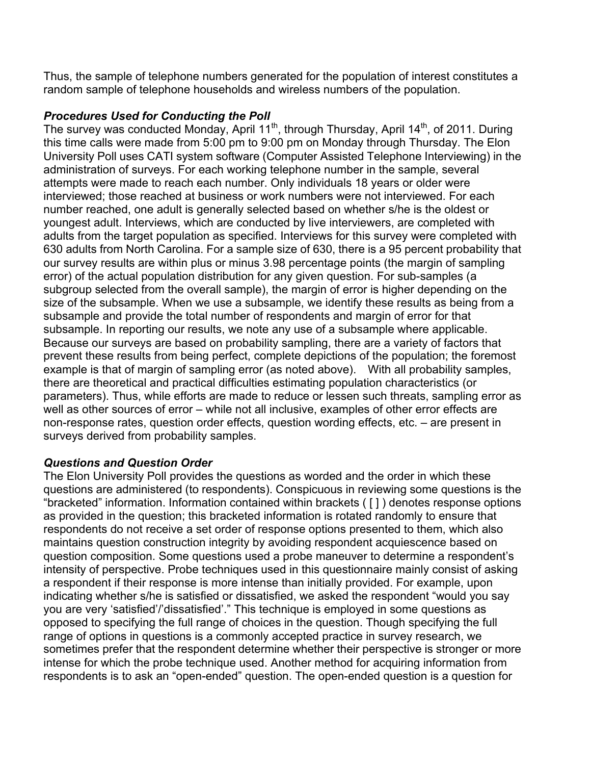Thus, the sample of telephone numbers generated for the population of interest constitutes a random sample of telephone households and wireless numbers of the population.

## *Procedures Used for Conducting the Poll*

The survey was conducted Monday, April 11<sup>th</sup>, through Thursday, April 14<sup>th</sup>, of 2011. During this time calls were made from 5:00 pm to 9:00 pm on Monday through Thursday. The Elon University Poll uses CATI system software (Computer Assisted Telephone Interviewing) in the administration of surveys. For each working telephone number in the sample, several attempts were made to reach each number. Only individuals 18 years or older were interviewed; those reached at business or work numbers were not interviewed. For each number reached, one adult is generally selected based on whether s/he is the oldest or youngest adult. Interviews, which are conducted by live interviewers, are completed with adults from the target population as specified. Interviews for this survey were completed with 630 adults from North Carolina. For a sample size of 630, there is a 95 percent probability that our survey results are within plus or minus 3.98 percentage points (the margin of sampling error) of the actual population distribution for any given question. For sub-samples (a subgroup selected from the overall sample), the margin of error is higher depending on the size of the subsample. When we use a subsample, we identify these results as being from a subsample and provide the total number of respondents and margin of error for that subsample. In reporting our results, we note any use of a subsample where applicable. Because our surveys are based on probability sampling, there are a variety of factors that prevent these results from being perfect, complete depictions of the population; the foremost example is that of margin of sampling error (as noted above). With all probability samples, there are theoretical and practical difficulties estimating population characteristics (or parameters). Thus, while efforts are made to reduce or lessen such threats, sampling error as well as other sources of error – while not all inclusive, examples of other error effects are non-response rates, question order effects, question wording effects, etc. – are present in surveys derived from probability samples.

### *Questions and Question Order*

The Elon University Poll provides the questions as worded and the order in which these questions are administered (to respondents). Conspicuous in reviewing some questions is the "bracketed" information. Information contained within brackets ( [ ] ) denotes response options as provided in the question; this bracketed information is rotated randomly to ensure that respondents do not receive a set order of response options presented to them, which also maintains question construction integrity by avoiding respondent acquiescence based on question composition. Some questions used a probe maneuver to determine a respondent's intensity of perspective. Probe techniques used in this questionnaire mainly consist of asking a respondent if their response is more intense than initially provided. For example, upon indicating whether s/he is satisfied or dissatisfied, we asked the respondent "would you say you are very 'satisfied'/'dissatisfied'." This technique is employed in some questions as opposed to specifying the full range of choices in the question. Though specifying the full range of options in questions is a commonly accepted practice in survey research, we sometimes prefer that the respondent determine whether their perspective is stronger or more intense for which the probe technique used. Another method for acquiring information from respondents is to ask an "open-ended" question. The open-ended question is a question for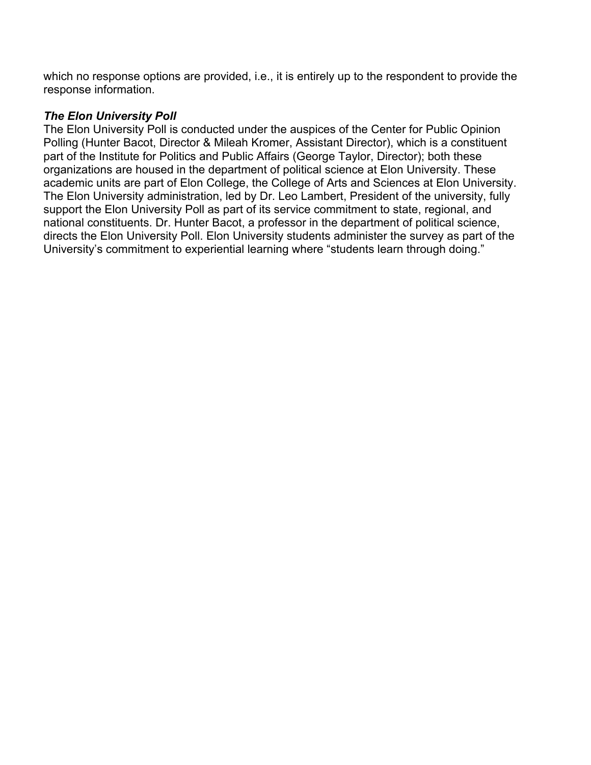which no response options are provided, i.e., it is entirely up to the respondent to provide the response information.

## *The Elon University Poll*

The Elon University Poll is conducted under the auspices of the Center for Public Opinion Polling (Hunter Bacot, Director & Mileah Kromer, Assistant Director), which is a constituent part of the Institute for Politics and Public Affairs (George Taylor, Director); both these organizations are housed in the department of political science at Elon University. These academic units are part of Elon College, the College of Arts and Sciences at Elon University. The Elon University administration, led by Dr. Leo Lambert, President of the university, fully support the Elon University Poll as part of its service commitment to state, regional, and national constituents. Dr. Hunter Bacot, a professor in the department of political science, directs the Elon University Poll. Elon University students administer the survey as part of the University's commitment to experiential learning where "students learn through doing."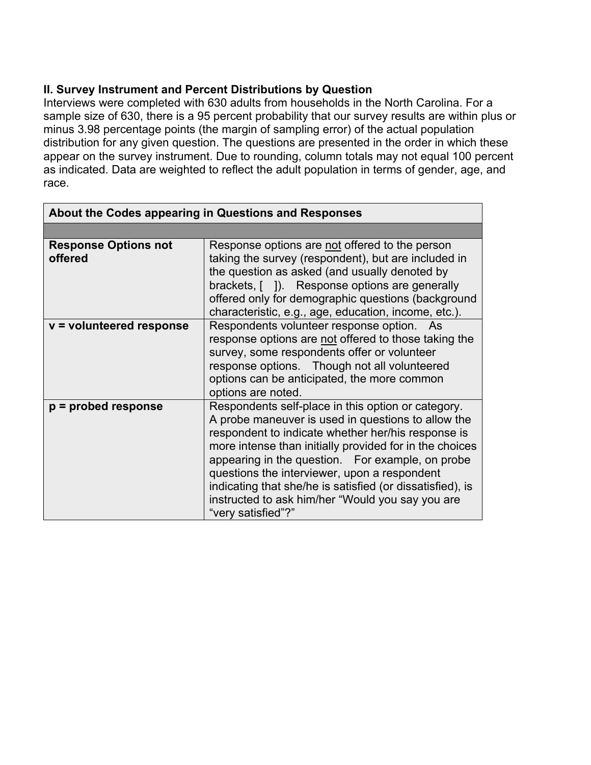## **II. Survey Instrument and Percent Distributions by Question**

Interviews were completed with 630 adults from households in the North Carolina. For a sample size of 630, there is a 95 percent probability that our survey results are within plus or minus 3.98 percentage points (the margin of sampling error) of the actual population distribution for any given question. The questions are presented in the order in which these appear on the survey instrument. Due to rounding, column totals may not equal 100 percent as indicated. Data are weighted to reflect the adult population in terms of gender, age, and race.

| About the Codes appearing in Questions and Responses |                                                                                                                                                                                                                                                                                                                                                                                                                                                                      |  |  |
|------------------------------------------------------|----------------------------------------------------------------------------------------------------------------------------------------------------------------------------------------------------------------------------------------------------------------------------------------------------------------------------------------------------------------------------------------------------------------------------------------------------------------------|--|--|
|                                                      |                                                                                                                                                                                                                                                                                                                                                                                                                                                                      |  |  |
| <b>Response Options not</b><br>offered               | Response options are not offered to the person<br>taking the survey (respondent), but are included in<br>the question as asked (and usually denoted by<br>brackets, []). Response options are generally<br>offered only for demographic questions (background<br>characteristic, e.g., age, education, income, etc.).                                                                                                                                                |  |  |
| $v =$ volunteered response                           | Respondents volunteer response option. As<br>response options are not offered to those taking the<br>survey, some respondents offer or volunteer<br>response options. Though not all volunteered<br>options can be anticipated, the more common<br>options are noted.                                                                                                                                                                                                |  |  |
| $p =$ probed response                                | Respondents self-place in this option or category.<br>A probe maneuver is used in questions to allow the<br>respondent to indicate whether her/his response is<br>more intense than initially provided for in the choices<br>appearing in the question. For example, on probe<br>questions the interviewer, upon a respondent<br>indicating that she/he is satisfied (or dissatisfied), is<br>instructed to ask him/her "Would you say you are<br>"very satisfied"?" |  |  |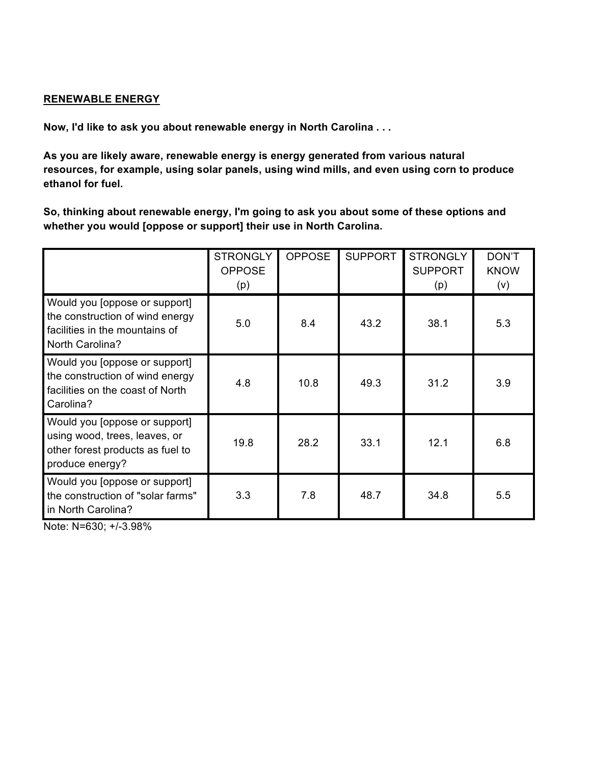### **RENEWABLE ENERGY**

**Now, I'd like to ask you about renewable energy in North Carolina . . .**

**As you are likely aware, renewable energy is energy generated from various natural resources, for example, using solar panels, using wind mills, and even using corn to produce ethanol for fuel.**

**So, thinking about renewable energy, I'm going to ask you about some of these options and whether you would [oppose or support] their use in North Carolina.**

|                                                                                                                       | <b>STRONGLY</b><br><b>OPPOSE</b><br>(p) | <b>OPPOSE</b> | <b>SUPPORT</b> | <b>STRONGLY</b><br><b>SUPPORT</b><br>(p) | DON'T<br><b>KNOW</b><br>(v) |
|-----------------------------------------------------------------------------------------------------------------------|-----------------------------------------|---------------|----------------|------------------------------------------|-----------------------------|
| Would you [oppose or support]<br>the construction of wind energy<br>facilities in the mountains of<br>North Carolina? | 5.0                                     | 8.4           | 43.2           | 38.1                                     | 5.3                         |
| Would you [oppose or support]<br>the construction of wind energy<br>facilities on the coast of North<br>Carolina?     | 4.8                                     | 10.8          | 49.3           | 31.2                                     | 3.9                         |
| Would you [oppose or support]<br>using wood, trees, leaves, or<br>other forest products as fuel to<br>produce energy? | 19.8                                    | 28.2          | 33.1           | 12.1                                     | 6.8                         |
| Would you [oppose or support]<br>the construction of "solar farms"<br>in North Carolina?                              | 3.3                                     | 7.8           | 48.7           | 34.8                                     | 5.5                         |

Note: N=630; +/-3.98%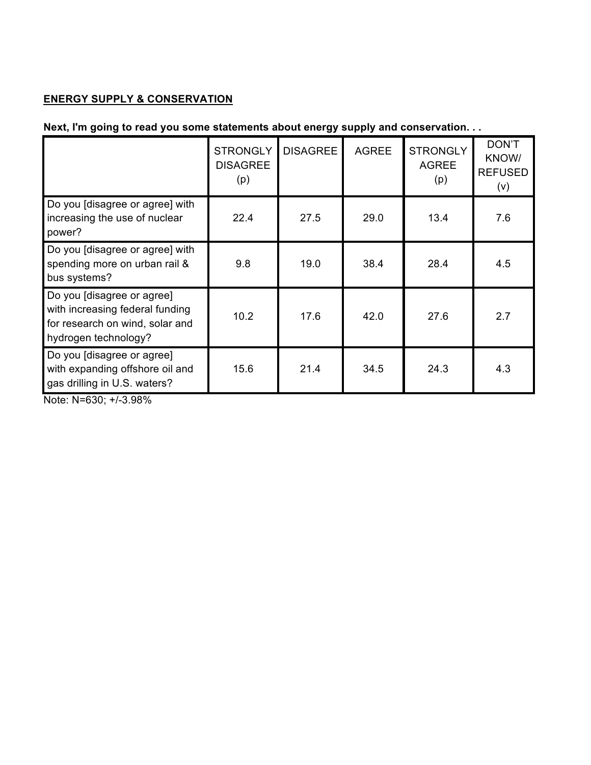# **ENERGY SUPPLY & CONSERVATION**

# **Next, I'm going to read you some statements about energy supply and conservation. . .**

|                                                                                                                          | <b>STRONGLY</b><br><b>DISAGREE</b><br>(p) | <b>DISAGREE</b> | <b>AGREE</b> | <b>STRONGLY</b><br><b>AGREE</b><br>(p) | DON'T<br>KNOW/<br><b>REFUSED</b><br>(v) |
|--------------------------------------------------------------------------------------------------------------------------|-------------------------------------------|-----------------|--------------|----------------------------------------|-----------------------------------------|
| Do you [disagree or agree] with<br>increasing the use of nuclear<br>power?                                               | 22.4                                      | 27.5            | 29.0         | 13.4                                   | 7.6                                     |
| Do you [disagree or agree] with<br>spending more on urban rail &<br>bus systems?                                         | 9.8                                       | 19.0            | 38.4         | 28.4                                   | 4.5                                     |
| Do you [disagree or agree]<br>with increasing federal funding<br>for research on wind, solar and<br>hydrogen technology? | 10.2                                      | 17.6            | 42.0         | 27.6                                   | 2.7                                     |
| Do you [disagree or agree]<br>with expanding offshore oil and<br>gas drilling in U.S. waters?                            | 15.6                                      | 21.4            | 34.5         | 24.3                                   | 4.3                                     |

Note: N=630; +/-3.98%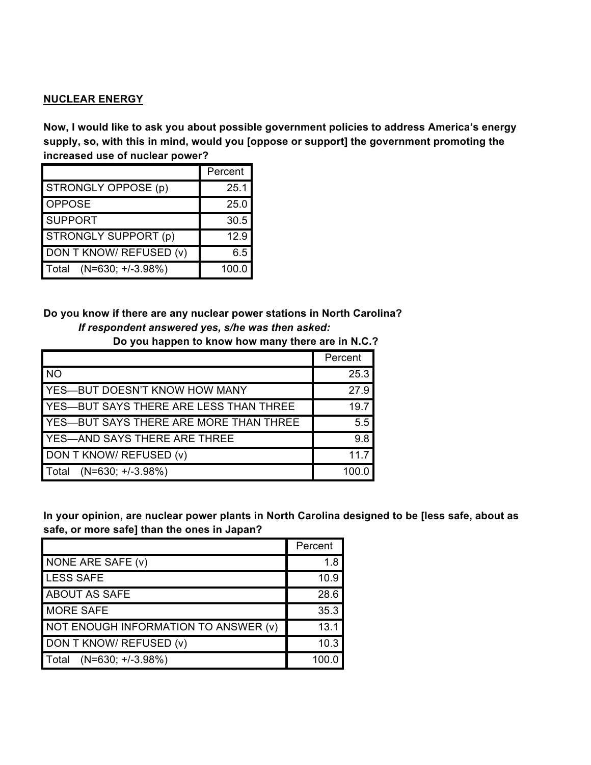#### **NUCLEAR ENERGY**

**Now, I would like to ask you about possible government policies to address America's energy supply, so, with this in mind, would you [oppose or support] the government promoting the increased use of nuclear power?**

|                              | Percent |
|------------------------------|---------|
| STRONGLY OPPOSE (p)          | 25.1    |
| <b>OPPOSE</b>                | 25.0    |
| <b>SUPPORT</b>               | 30.5    |
| STRONGLY SUPPORT (p)         | 12.9    |
| DON T KNOW/ REFUSED (v)      | 6.5     |
| $(N=630; +/-3.98%)$<br>Total | 100.0   |

**Do you know if there are any nuclear power stations in North Carolina?** *If respondent answered yes, s/he was then asked:*

|                                               | Percent |
|-----------------------------------------------|---------|
| <b>NO</b>                                     | 25.3    |
| YES-BUT DOESN'T KNOW HOW MANY                 | 27.9    |
| YES-BUT SAYS THERE ARE LESS THAN THREE        | 19.7    |
| <b>YES-BUT SAYS THERE ARE MORE THAN THREE</b> | 5.5     |
| YES-AND SAYS THERE ARE THREE                  | 9.8     |
| DON T KNOW/ REFUSED (v)                       | 117     |
| $(N=630; +/-3.98%)$<br>Total                  | 100.0   |

**Do you happen to know how many there are in N.C.?**

**In your opinion, are nuclear power plants in North Carolina designed to be [less safe, about as safe, or more safe] than the ones in Japan?**

|                                      | Percent |
|--------------------------------------|---------|
| NONE ARE SAFE (v)                    | 1.8     |
| LESS SAFE                            | 10.9    |
| <b>ABOUT AS SAFE</b>                 | 28.6    |
| <b>MORE SAFE</b>                     | 35.3    |
| NOT ENOUGH INFORMATION TO ANSWER (v) | 13.1    |
| DON T KNOW/ REFUSED (v)              | 10.3    |
| $(N=630; +/-3.98%)$<br>l Total       | 100.0   |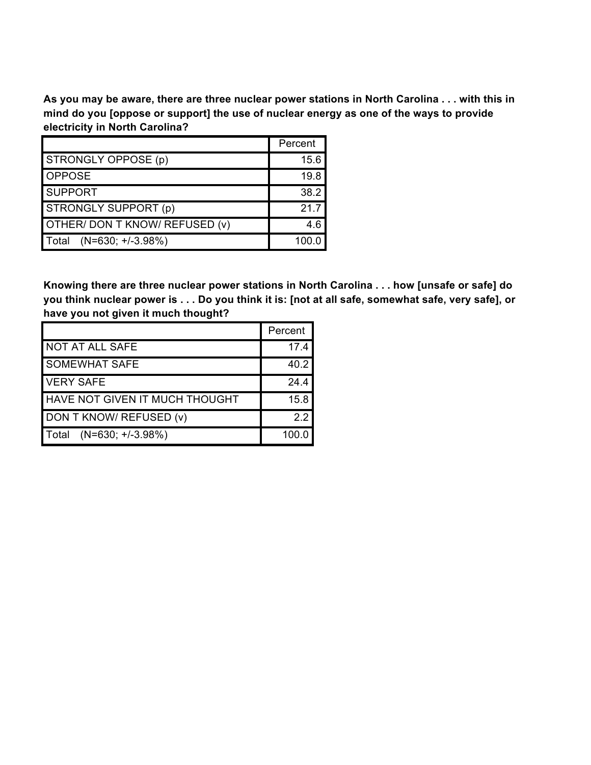As you may be aware, there are three nuclear power stations in North Carolina . . . with this in **mind do you [oppose or support] the use of nuclear energy as one of the ways to provide electricity in North Carolina?**

|                                | Percent |
|--------------------------------|---------|
| STRONGLY OPPOSE (p)            | 15.6    |
| <b>OPPOSE</b>                  | 19.8    |
| <b>SUPPORT</b>                 | 38.2    |
| STRONGLY SUPPORT (p)           | 217     |
| OTHER/ DON T KNOW/ REFUSED (v) | 4.6     |
| $(N=630; +/-3.98%)$<br>l Total | 100.0   |

**Knowing there are three nuclear power stations in North Carolina . . . how [unsafe or safe] do** you think nuclear power is . . . Do you think it is: [not at all safe, somewhat safe, very safe], or **have you not given it much thought?**

|                                       | Percent |
|---------------------------------------|---------|
| <b>NOT AT ALL SAFE</b>                | 17.4    |
| <b>SOMEWHAT SAFE</b>                  | 40.2    |
| <b>VERY SAFE</b>                      | 24.4    |
| <b>HAVE NOT GIVEN IT MUCH THOUGHT</b> | 15.8    |
| DON T KNOW/ REFUSED (v)               | 2.2     |
| $(N=630; +/-3.98%)$<br>l Total        | 100.0   |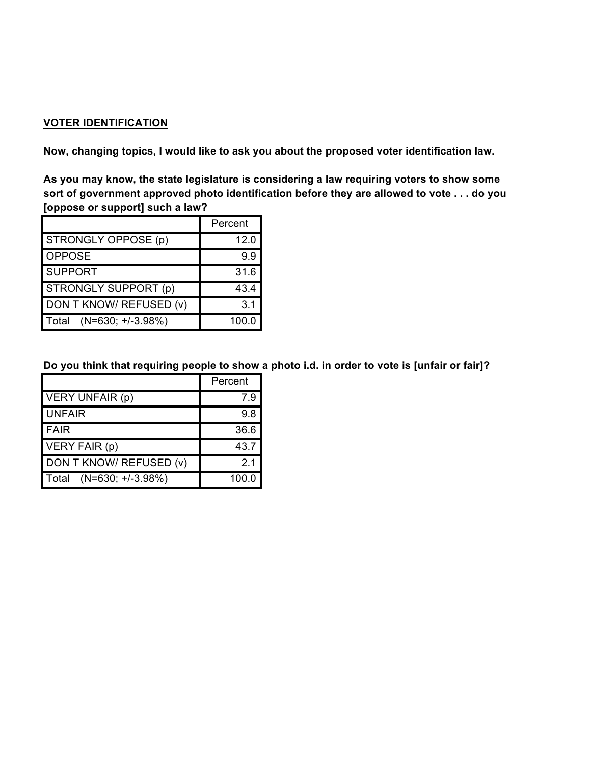### **VOTER IDENTIFICATION**

**Now, changing topics, I would like to ask you about the proposed voter identification law.**

**As you may know, the state legislature is considering a law requiring voters to show some sort of government approved photo identification before they are allowed to vote . . . do you [oppose or support] such a law?**

|                                     | Percent |
|-------------------------------------|---------|
| STRONGLY OPPOSE (p)                 | 12.0    |
| <b>OPPOSE</b>                       | 9.9     |
| <b>SUPPORT</b>                      | 31.6    |
| <b>STRONGLY SUPPORT (p)</b>         | 43.4    |
| DON T KNOW/ REFUSED (v)             | 3.1     |
| $(N=630; +/-3.98%)$<br><b>Total</b> | 100.0   |

Do you think that requiring people to show a photo i.d. in order to vote is [unfair or fair]?

|                                     | Percent        |  |
|-------------------------------------|----------------|--|
| VERY UNFAIR (p)                     | 7.9            |  |
| <b>UNFAIR</b>                       | 9.8            |  |
| <b>FAIR</b>                         | 36.6           |  |
| VERY FAIR (p)                       | 43.7           |  |
| DON T KNOW/ REFUSED (v)             | 2 <sub>1</sub> |  |
| $(N=630; +/-3.98%)$<br><b>Total</b> | 100.0          |  |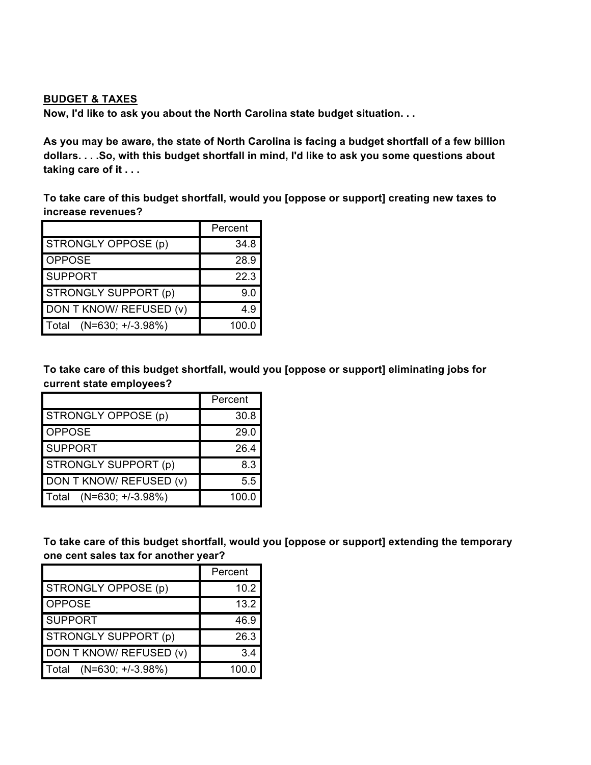#### **BUDGET & TAXES**

**Now, I'd like to ask you about the North Carolina state budget situation. . .**

As you may be aware, the state of North Carolina is facing a budget shortfall of a few billion **dollars. . . .So, with this budget shortfall in mind, I'd like to ask you some questions about taking care of it . . .**

**To take care of this budget shortfall, would you [oppose or support] creating new taxes to increase revenues?**

|                              | Percent |
|------------------------------|---------|
| STRONGLY OPPOSE (p)          | 34.8    |
| <b>OPPOSE</b>                | 28.9    |
| <b>SUPPORT</b>               | 22.3    |
| STRONGLY SUPPORT (p)         | 9.0     |
| DON T KNOW/ REFUSED (v)      | 4.9     |
| $(N=630; +/-3.98%)$<br>Total | 100.0   |

**To take care of this budget shortfall, would you [oppose or support] eliminating jobs for current state employees?**

|                              | Percent |
|------------------------------|---------|
| <b>STRONGLY OPPOSE (p)</b>   | 30.8    |
| <b>OPPOSE</b>                | 29.0    |
| <b>SUPPORT</b>               | 26.4    |
| STRONGLY SUPPORT (p)         | 8.3     |
| DON T KNOW/ REFUSED (v)      | 5.5     |
| $(N=630; +/-3.98%)$<br>Total | 100.0   |

**To take care of this budget shortfall, would you [oppose or support] extending the temporary one cent sales tax for another year?**

|                              | Percent |
|------------------------------|---------|
| STRONGLY OPPOSE (p)          | 10.2    |
| <b>OPPOSE</b>                | 13.2    |
| <b>SUPPORT</b>               | 46.9    |
| STRONGLY SUPPORT (p)         | 26.3    |
| DON T KNOW/ REFUSED (v)      | 3.4     |
| $(N=630; +/-3.98%)$<br>Total | 100.0   |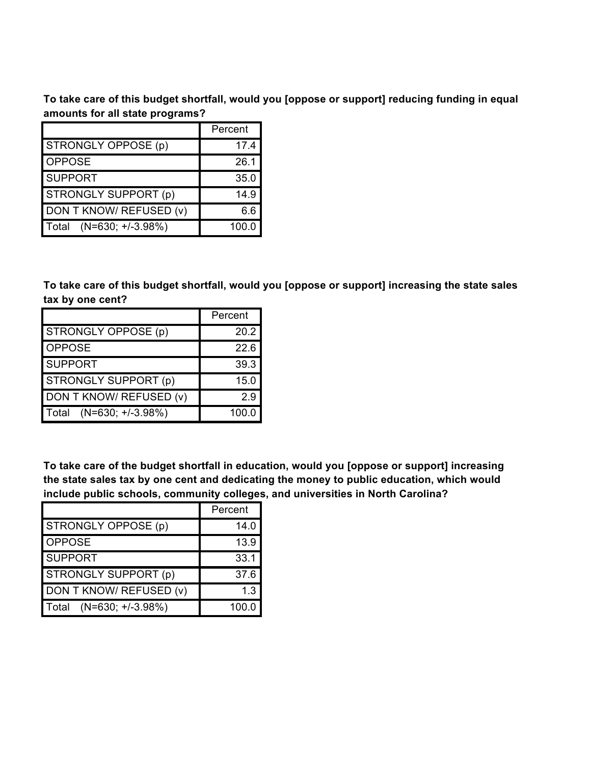**To take care of this budget shortfall, would you [oppose or support] reducing funding in equal amounts for all state programs?**

|                              | Percent |
|------------------------------|---------|
| STRONGLY OPPOSE (p)          | 17.4    |
| <b>OPPOSE</b>                | 26.1    |
| <b>SUPPORT</b>               | 35.0    |
| STRONGLY SUPPORT (p)         | 14.9    |
| DON T KNOW/ REFUSED (v)      | 6.6     |
| $(N=630; +/-3.98%)$<br>Total | 100.0   |

**To take care of this budget shortfall, would you [oppose or support] increasing the state sales tax by one cent?**

|                         | Percent |  |
|-------------------------|---------|--|
| STRONGLY OPPOSE (p)     | 20.2    |  |
| <b>OPPOSE</b>           | 22.6    |  |
| <b>SUPPORT</b>          | 39.3    |  |
| STRONGLY SUPPORT (p)    | 15.0    |  |
| DON T KNOW/ REFUSED (v) | 29      |  |
| Total (N=630; +/-3.98%) | 100.0   |  |

**To take care of the budget shortfall in education, would you [oppose or support] increasing the state sales tax by one cent and dedicating the money to public education, which would include public schools, community colleges, and universities in North Carolina?**

|                              | Percent |
|------------------------------|---------|
| STRONGLY OPPOSE (p)          | 14.0    |
| <b>OPPOSE</b>                | 13.9    |
| <b>SUPPORT</b>               | 33.1    |
| STRONGLY SUPPORT (p)         | 37.6    |
| DON T KNOW/ REFUSED (v)      | 1.3     |
| $(N=630; +/-3.98%)$<br>Total | 100.0   |